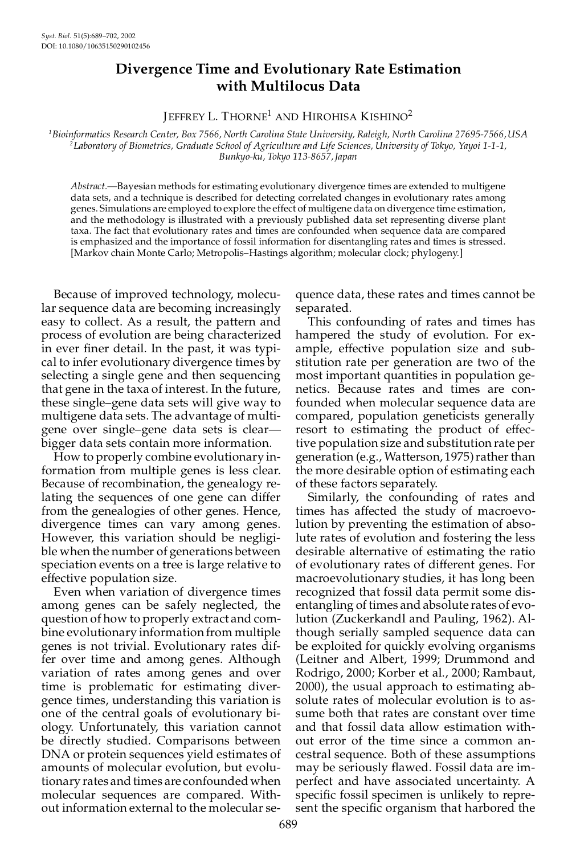# **Divergence Time and Evolutionary Rate Estimation with Multilocus Data**

**JEFFREY L. THORNE<sup>1</sup> AND HIROHISA KISHINO<sup>2</sup>** 

*<sup>1</sup>Bioinformatics Research Center, Box 7566, North Carolina State University, Raleigh, North Carolina 27695-7566,USA <sup>2</sup>Laboratory of Biometrics, Graduate School of Agriculture and Life Sciences, University of Tokyo, Yayoi 1-1-1, Bunkyo-ku, Tokyo 113-8657,Japan*

*Abstract.—*Bayesian methods for estimating evolutionary divergence times are extended to multigene data sets, and a technique is described for detecting correlated changes in evolutionary rates among genes. Simulations are employed to explore the effect of multigene data on divergence time estimation, and the methodology is illustrated with a previously published data set representing diverse plant taxa. The fact that evolutionary rates and times are confounded when sequence data are compared is emphasized and the importance of fossil information for disentangling rates and times is stressed. [Markov chain Monte Carlo; Metropolis–Hastings algorithm; molecular clock; phylogeny.]

Because of improved technology, molecular sequence data are becoming increasingly easy to collect. As a result, the pattern and process of evolution are being characterized in ever finer detail. In the past, it was typical to infer evolutionary divergence times by selecting a single gene and then sequencing that gene in the taxa of interest. In the future, these single–gene data sets will give way to multigene data sets. The advantage of multigene over single–gene data sets is clear bigger data sets contain more information.

How to properly combine evolutionary information from multiple genes is less clear. Because of recombination, the genealogy relating the sequences of one gene can differ from the genealogies of other genes. Hence, divergence times can vary among genes. However, this variation should be negligible when the number of generations between speciation events on a tree is large relative to effective population size.

Even when variation of divergence times among genes can be safely neglected, the question of how to properly extract and combine evolutionary information from multiple genes is not trivial. Evolutionary rates differ over time and among genes. Although variation of rates among genes and over time is problematic for estimating divergence times, understanding this variation is one of the central goals of evolutionary biology. Unfortunately, this variation cannot be directly studied. Comparisons between DNA or protein sequences yield estimates of amounts of molecular evolution, but evolutionary rates and times are confounded when molecular sequences are compared. Without information external to the molecular sequence data, these rates and times cannot be separated.

This confounding of rates and times has hampered the study of evolution. For example, effective population size and substitution rate per generation are two of the most important quantities in population genetics. Because rates and times are confounded when molecular sequence data are compared, population geneticists generally resort to estimating the product of effective population size and substitution rate per generation (e.g., Watterson, 1975) rather than the more desirable option of estimating each of these factors separately.

Similarly, the confounding of rates and times has affected the study of macroevolution by preventing the estimation of absolute rates of evolution and fostering the less desirable alternative of estimating the ratio of evolutionary rates of different genes. For macroevolutionary studies, it has long been recognized that fossil data permit some disentangling of times and absolute rates of evolution (Zuckerkandl and Pauling, 1962). Although serially sampled sequence data can be exploited for quickly evolving organisms (Leitner and Albert, 1999; Drummond and Rodrigo, 2000; Korber et al., 2000; Rambaut, 2000), the usual approach to estimating absolute rates of molecular evolution is to assume both that rates are constant over time and that fossil data allow estimation without error of the time since a common ancestral sequence. Both of these assumptions may be seriously flawed. Fossil data are imperfect and have associated uncertainty. A specific fossil specimen is unlikely to represent the specific organism that harbored the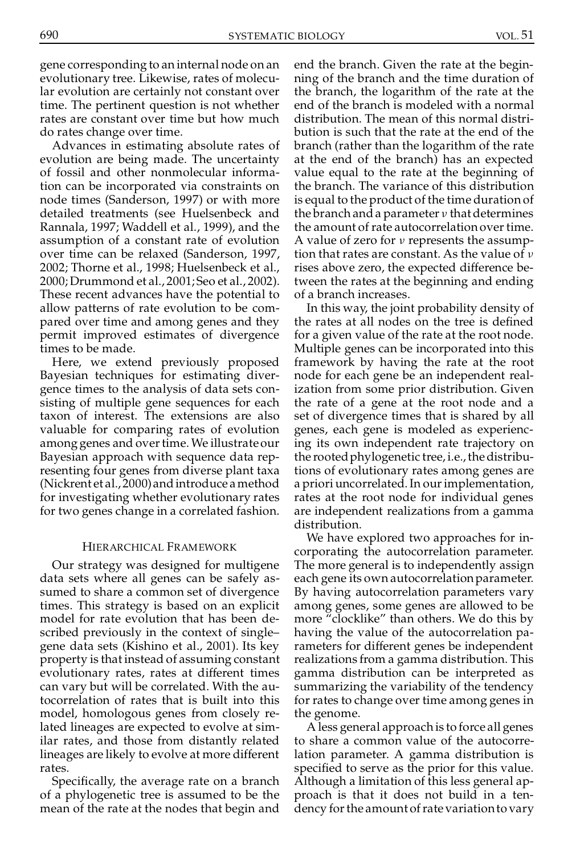gene corresponding to an internal node on an evolutionary tree. Likewise, rates of molecular evolution are certainly not constant over time. The pertinent question is not whether rates are constant over time but how much do rates change over time.

Advances in estimating absolute rates of evolution are being made. The uncertainty of fossil and other nonmolecular information can be incorporated via constraints on node times (Sanderson, 1997) or with more detailed treatments (see Huelsenbeck and Rannala, 1997; Waddell et al., 1999), and the assumption of a constant rate of evolution over time can be relaxed (Sanderson, 1997, 2002; Thorne et al., 1998; Huelsenbeck et al., 2000;Drummond et al., 2001; Seo et al., 2002). These recent advances have the potential to allow patterns of rate evolution to be compared over time and among genes and they permit improved estimates of divergence times to be made.

Here, we extend previously proposed Bayesian techniques for estimating divergence times to the analysis of data sets consisting of multiple gene sequences for each taxon of interest. The extensions are also valuable for comparing rates of evolution among genes and over time. We illustrate our Bayesian approach with sequence data representing four genes from diverse plant taxa (Nickrent et al., 2000) and introduce a method for investigating whether evolutionary rates for two genes change in a correlated fashion.

### HIERARCHICAL FRAMEWORK

Our strategy was designed for multigene data sets where all genes can be safely assumed to share a common set of divergence times. This strategy is based on an explicit model for rate evolution that has been described previously in the context of single– gene data sets (Kishino et al., 2001). Its key property is that instead of assuming constant evolutionary rates, rates at different times can vary but will be correlated. With the autocorrelation of rates that is built into this model, homologous genes from closely related lineages are expected to evolve at similar rates, and those from distantly related lineages are likely to evolve at more different rates.

Specifically, the average rate on a branch of a phylogenetic tree is assumed to be the mean of the rate at the nodes that begin and

end the branch. Given the rate at the beginning of the branch and the time duration of the branch, the logarithm of the rate at the end of the branch is modeled with a normal distribution. The mean of this normal distribution is such that the rate at the end of the branch (rather than the logarithm of the rate at the end of the branch) has an expected value equal to the rate at the beginning of the branch. The variance of this distribution is equal to the product of the time duration of the branch and a parameter  $\nu$  that determines the amount of rate autocorrelation over time. A value of zero for  $\nu$  represents the assumption that rates are constant. As the value of  $\nu$ rises above zero, the expected difference between the rates at the beginning and ending of a branch increases.

In this way, the joint probability density of the rates at all nodes on the tree is defined for a given value of the rate at the root node. Multiple genes can be incorporated into this framework by having the rate at the root node for each gene be an independent realization from some prior distribution. Given the rate of a gene at the root node and a set of divergence times that is shared by all genes, each gene is modeled as experiencing its own independent rate trajectory on the rooted phylogenetic tree, i.e., the distributions of evolutionary rates among genes are a priori uncorrelated.In ourimplementation, rates at the root node for individual genes are independent realizations from a gamma distribution.

We have explored two approaches for incorporating the autocorrelation parameter. The more general is to independently assign each gene its own autocorrelationparameter. By having autocorrelation parameters vary among genes, some genes are allowed to be more "clocklike" than others. We do this by having the value of the autocorrelation parameters for different genes be independent realizations from a gamma distribution. This gamma distribution can be interpreted as summarizing the variability of the tendency for rates to change over time among genes in the genome.

A less general approach is to force all genes to share a common value of the autocorrelation parameter. A gamma distribution is specified to serve as the prior for this value. Although a limitation of this less general approach is that it does not build in a tendency for the amount of rate variation to vary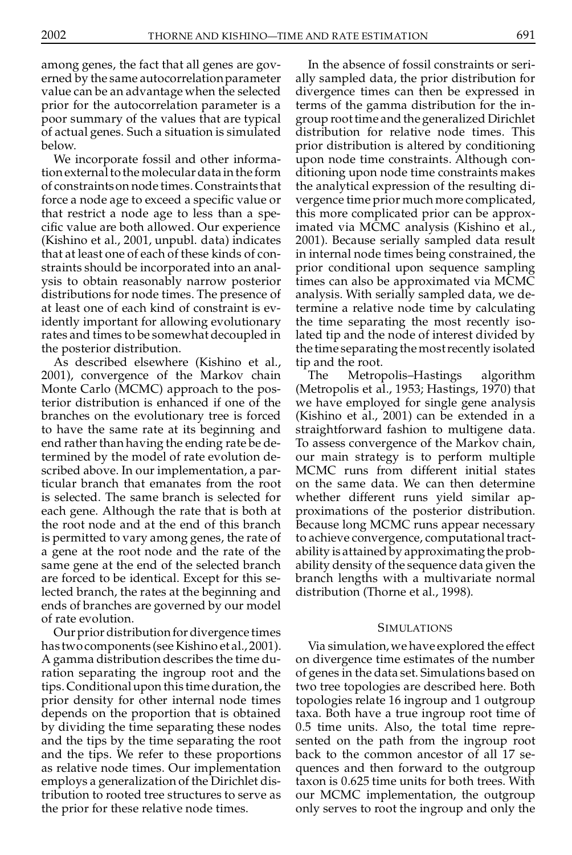among genes, the fact that all genes are governed by the same autocorrelationparameter value can be an advantage when the selected prior for the autocorrelation parameter is a poor summary of the values that are typical of actual genes. Such a situation is simulated below.

We incorporate fossil and other information external to the molecular data in the form of constraintson node times. Constraints that force a node age to exceed a specific value or that restrict a node age to less than a specific value are both allowed. Our experience (Kishino et al., 2001, unpubl. data) indicates that at least one of each of these kinds of constraints should be incorporated into an analysis to obtain reasonably narrow posterior distributions for node times. The presence of at least one of each kind of constraint is evidently important for allowing evolutionary rates and times to be somewhat decoupled in the posterior distribution.

As described elsewhere (Kishino et al., 2001), convergence of the Markov chain Monte Carlo (MCMC) approach to the posterior distribution is enhanced if one of the branches on the evolutionary tree is forced to have the same rate at its beginning and end rather than having the ending rate be determined by the model of rate evolution described above. In our implementation, a particular branch that emanates from the root is selected. The same branch is selected for each gene. Although the rate that is both at the root node and at the end of this branch is permitted to vary among genes, the rate of a gene at the root node and the rate of the same gene at the end of the selected branch are forced to be identical. Except for this selected branch, the rates at the beginning and ends of branches are governed by our model of rate evolution.

Our prior distribution for divergence times has twocomponents (see Kishino et al., 2001). A gamma distribution describes the time duration separating the ingroup root and the tips. Conditional upon this time duration, the prior density for other internal node times depends on the proportion that is obtained by dividing the time separating these nodes and the tips by the time separating the root and the tips. We refer to these proportions as relative node times. Our implementation employs a generalization of the Dirichlet distribution to rooted tree structures to serve as the prior for these relative node times.

In the absence of fossil constraints or serially sampled data, the prior distribution for divergence times can then be expressed in terms of the gamma distribution for the ingroup root time and the generalized Dirichlet distribution for relative node times. This prior distribution is altered by conditioning upon node time constraints. Although conditioning upon node time constraints makes the analytical expression of the resulting divergence time prior much more complicated, this more complicated prior can be approximated via MCMC analysis (Kishino et al., 2001). Because serially sampled data result in internal node times being constrained, the prior conditional upon sequence sampling times can also be approximated via MCMC analysis. With serially sampled data, we determine a relative node time by calculating the time separating the most recently isolated tip and the node of interest divided by the time separating the mostrecently isolated tip and the root.

The Metropolis–Hastings algorithm (Metropolis et al., 1953; Hastings, 1970) that we have employed for single gene analysis (Kishino et al., 2001) can be extended in a straightforward fashion to multigene data. To assess convergence of the Markov chain, our main strategy is to perform multiple MCMC runs from different initial states on the same data. We can then determine whether different runs yield similar approximations of the posterior distribution. Because long MCMC runs appear necessary to achieve convergence, computational tractability is attained by approximating the probability density of the sequence data given the branch lengths with a multivariate normal distribution (Thorne et al., 1998).

### **SIMULATIONS**

Via simulation,we have explored the effect on divergence time estimates of the number of genes in the data set. Simulations based on two tree topologies are described here. Both topologies relate 16 ingroup and 1 outgroup taxa. Both have a true ingroup root time of 0.5 time units. Also, the total time represented on the path from the ingroup root back to the common ancestor of all 17 sequences and then forward to the outgroup taxon is 0.625 time units for both trees. With our MCMC implementation, the outgroup only serves to root the ingroup and only the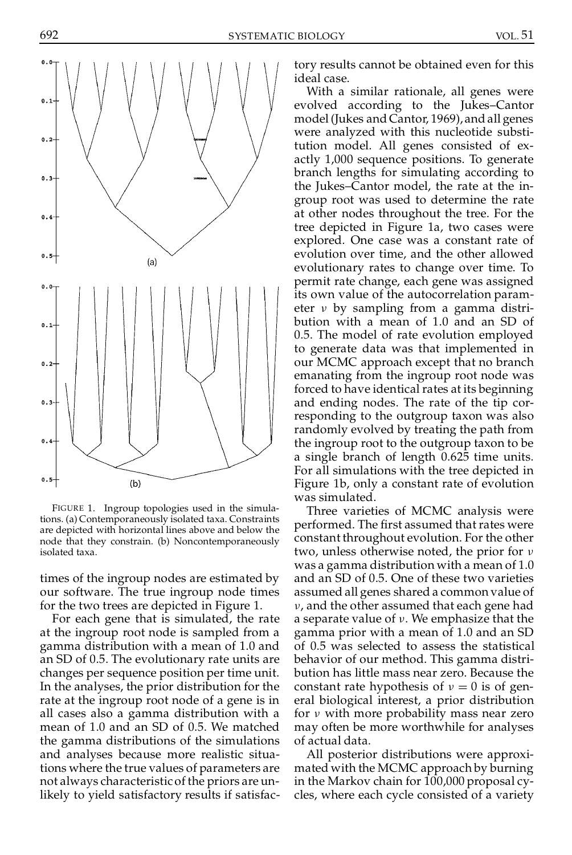

FIGURE 1. Ingroup topologies used in the simulations. (a) Contemporaneously isolated taxa. Constraints are depicted with horizontal lines above and below the node that they constrain. (b) Noncontemporaneously isolated taxa.

times of the ingroup nodes are estimated by our software. The true ingroup node times for the two trees are depicted in Figure 1.

For each gene that is simulated, the rate at the ingroup root node is sampled from a gamma distribution with a mean of 1.0 and an SD of 0.5. The evolutionary rate units are changes per sequence position per time unit. In the analyses, the prior distribution for the rate at the ingroup root node of a gene is in all cases also a gamma distribution with a mean of 1.0 and an SD of 0.5. We matched the gamma distributions of the simulations and analyses because more realistic situations where the true values of parameters are not always characteristic of the priors are unlikely to yield satisfactory results if satisfac-

tory results cannot be obtained even for this ideal case.

With a similar rationale, all genes were evolved according to the Jukes–Cantor model(Jukes and Cantor, 1969), and all genes were analyzed with this nucleotide substitution model. All genes consisted of exactly 1,000 sequence positions. To generate branch lengths for simulating according to the Jukes–Cantor model, the rate at the ingroup root was used to determine the rate at other nodes throughout the tree. For the tree depicted in Figure 1a, two cases were explored. One case was a constant rate of evolution over time, and the other allowed evolutionary rates to change over time. To permit rate change, each gene was assigned its own value of the autocorrelation parameter  $\nu$  by sampling from a gamma distribution with a mean of 1.0 and an SD of 0.5. The model of rate evolution employed to generate data was that implemented in our MCMC approach except that no branch emanating from the ingroup root node was forced to have identical rates at its beginning and ending nodes. The rate of the tip corresponding to the outgroup taxon was also randomly evolved by treating the path from the ingroup root to the outgroup taxon to be a single branch of length 0.625 time units. For all simulations with the tree depicted in Figure 1b, only a constant rate of evolution was simulated.

Three varieties of MCMC analysis were performed. The first assumed that rates were constant throughout evolution. For the other two, unless otherwise noted, the prior for  $\nu$ was a gamma distribution with a mean of 1.0 and an SD of 0.5. One of these two varieties assumed all genes shared a common value of º, and the other assumed that each gene had a separate value of  $\nu$ . We emphasize that the gamma prior with a mean of 1.0 and an SD of 0.5 was selected to assess the statistical behavior of our method. This gamma distribution has little mass near zero. Because the constant rate hypothesis of  $v = 0$  is of general biological interest, a prior distribution for  $\nu$  with more probability mass near zero may often be more worthwhile for analyses of actual data.

All posterior distributions were approximated with the MCMC approach by burning in the Markov chain for 100,000 proposal cycles, where each cycle consisted of a variety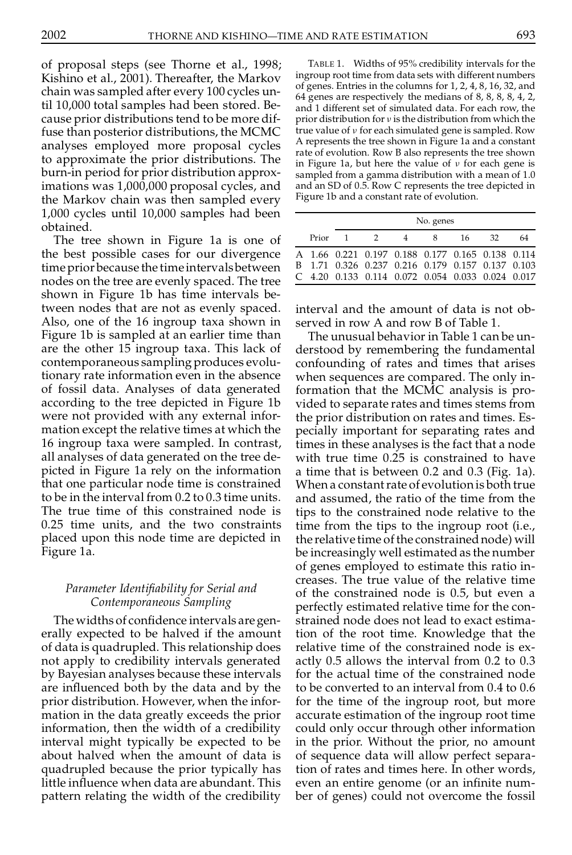of proposal steps (see Thorne et al., 1998; Kishino et al., 2001). Thereafter, the Markov chain was sampled after every 100 cycles until 10,000 total samples had been stored. Because prior distributions tend to be more diffuse than posterior distributions, the MCMC analyses employed more proposal cycles to approximate the prior distributions. The burn-in period for prior distribution approximations was 1,000,000 proposal cycles, and the Markov chain was then sampled every 1,000 cycles until 10,000 samples had been obtained.

The tree shown in Figure 1a is one of the best possible cases for our divergence timepriorbecause the timeintervalsbetween nodes on the tree are evenly spaced. The tree shown in Figure 1b has time intervals between nodes that are not as evenly spaced. Also, one of the 16 ingroup taxa shown in Figure 1b is sampled at an earlier time than are the other 15 ingroup taxa. This lack of contemporaneous sampling produces evolutionary rate information even in the absence of fossil data. Analyses of data generated according to the tree depicted in Figure 1b were not provided with any external information except the relative times at which the 16 ingroup taxa were sampled. In contrast, all analyses of data generated on the tree depicted in Figure 1a rely on the information that one particular node time is constrained to be in the interval from 0.2 to 0.3 time units. The true time of this constrained node is 0.25 time units, and the two constraints placed upon this node time are depicted in Figure 1a.

# *Parameter Identiability for Serial and Contemporaneous Sampling*

The widths of confidence intervals are generally expected to be halved if the amount of data is quadrupled. This relationship does not apply to credibility intervals generated by Bayesian analyses because these intervals are influenced both by the data and by the prior distribution. However, when the information in the data greatly exceeds the prior information, then the width of a credibility interval might typically be expected to be about halved when the amount of data is quadrupled because the prior typically has little influence when data are abundant. This pattern relating the width of the credibility

TABLE 1. Widths of 95% credibility intervals for the ingroup root time from data sets with different numbers of genes. Entries in the columns for 1, 2, 4, 8, 16, 32, and 64 genes are respectively the medians of 8, 8, 8, 8, 4, 2, and 1 different set of simulated data. For each row, the prior distribution for  $v$  is the distribution from which the true value of  $\nu$  for each simulated gene is sampled. Row A represents the tree shown in Figure 1a and a constant rate of evolution. Row B also represents the tree shown in Figure 1a, but here the value of  $\nu$  for each gene is sampled from a gamma distribution with a mean of 1.0 and an SD of 0.5. Row C represents the tree depicted in Figure 1b and a constant rate of evolution.

|       |             | No. genes |   |                                                    |    |     |    |
|-------|-------------|-----------|---|----------------------------------------------------|----|-----|----|
| Prior | $1 \quad 2$ |           | 4 | -8                                                 | 16 | 32. | 64 |
|       |             |           |   | A 1.66 0.221 0.197 0.188 0.177 0.165 0.138 0.114   |    |     |    |
|       |             |           |   | B 1.71 0.326 0.237 0.216 0.179 0.157 0.137 0.103   |    |     |    |
|       |             |           |   | $C$ 4.20 0.133 0.114 0.072 0.054 0.033 0.024 0.017 |    |     |    |

interval and the amount of data is not observed in row A and row B of Table 1.

The unusual behavior in Table 1 can be understood by remembering the fundamental confounding of rates and times that arises when sequences are compared. The only information that the MCMC analysis is provided to separate rates and times stems from the prior distribution on rates and times. Especially important for separating rates and times in these analyses is the fact that a node with true time 0.25 is constrained to have a time that is between 0.2 and 0.3 (Fig. 1a). When a constantrate of evolutionis both true and assumed, the ratio of the time from the tips to the constrained node relative to the time from the tips to the ingroup root (i.e., the relative time of the constrained node) will be increasingly well estimated as the number of genes employed to estimate this ratio increases. The true value of the relative time of the constrained node is 0.5, but even a perfectly estimated relative time for the constrained node does not lead to exact estimation of the root time. Knowledge that the relative time of the constrained node is exactly 0.5 allows the interval from 0.2 to 0.3 for the actual time of the constrained node to be converted to an interval from 0.4 to 0.6 for the time of the ingroup root, but more accurate estimation of the ingroup root time could only occur through other information in the prior. Without the prior, no amount of sequence data will allow perfect separation of rates and times here. In other words, even an entire genome (or an infinite number of genes) could not overcome the fossil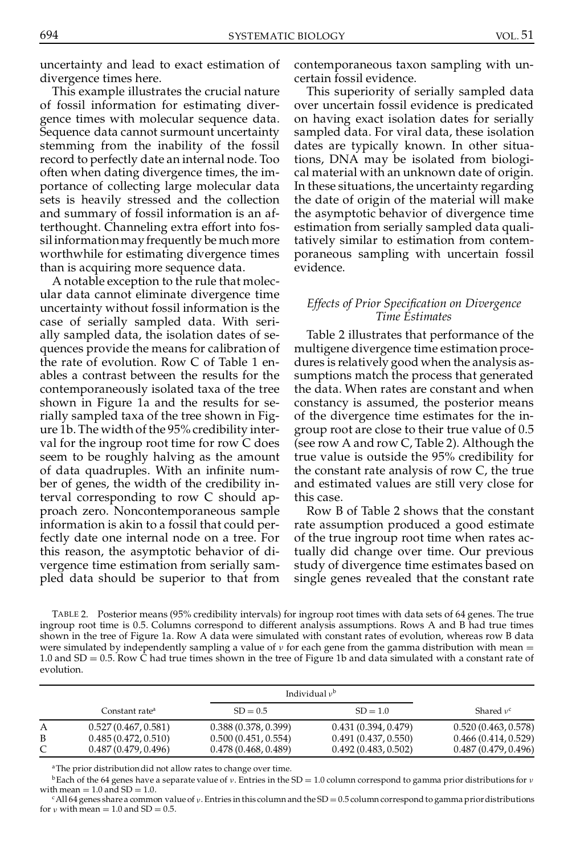uncertainty and lead to exact estimation of divergence times here.

This example illustrates the crucial nature of fossil information for estimating divergence times with molecular sequence data. Sequence data cannot surmount uncertainty stemming from the inability of the fossil record to perfectly date an internal node. Too often when dating divergence times, the importance of collecting large molecular data sets is heavily stressed and the collection and summary of fossil information is an afterthought. Channeling extra effort into fossil information may frequently be much more worthwhile for estimating divergence times than is acquiring more sequence data.

A notable exception to the rule that molecular data cannot eliminate divergence time uncertainty without fossil information is the case of serially sampled data. With serially sampled data, the isolation dates of sequences provide the means for calibration of the rate of evolution. Row  $C$  of Table 1 enables a contrast between the results for the contemporaneously isolated taxa of the tree shown in Figure 1a and the results for serially sampled taxa of the tree shown in Figure 1b. The width of the 95% credibility interval for the ingroup root time for row C does seem to be roughly halving as the amount of data quadruples. With an infinite number of genes, the width of the credibility interval corresponding to row C should approach zero. Noncontemporaneous sample information is akin to a fossil that could perfectly date one internal node on a tree. For this reason, the asymptotic behavior of divergence time estimation from serially sampled data should be superior to that from

contemporaneous taxon sampling with uncertain fossil evidence.

This superiority of serially sampled data over uncertain fossil evidence is predicated on having exact isolation dates for serially sampled data. For viral data, these isolation dates are typically known. In other situations, DNA may be isolated from biological material with an unknown date of origin. In these situations, the uncertainty regarding the date of origin of the material will make the asymptotic behavior of divergence time estimation from serially sampled data qualitatively similar to estimation from contemporaneous sampling with uncertain fossil evidence.

## $E$  *Effects* of *Prior Specification* on *Divergence Time Estimates*

Table 2 illustrates that performance of the multigene divergence time estimation procedures is relatively good when the analysis assumptions match the process that generated the data. When rates are constant and when constancy is assumed, the posterior means of the divergence time estimates for the ingroup root are close to their true value of 0.5 (see row A and row C, Table 2). Although the true value is outside the 95% credibility for the constant rate analysis of row C, the true and estimated values are still very close for this case.

Row B of Table 2 shows that the constant rate assumption produced a good estimate of the true ingroup root time when rates actually did change over time. Our previous study of divergence time estimates based on single genes revealed that the constant rate

TABLE 2. Posterior means (95% credibility intervals) for ingroup root times with data sets of 64 genes. The true ingroup root time is 0.5. Columns correspond to different analysis assumptions. Rows A and B had true times shown in the tree of Figure 1a. Row A data were simulated with constant rates of evolution, whereas row B data were simulated by independently sampling a value of  $\nu$  for each gene from the gamma distribution with mean = 1.0 and  $SD = 0.5$ . Row C had true times shown in the tree of Figure 1b and data simulated with a constant rate of evolution.

|   | Individual $v^{\rm b}$     |                     |                     |                     |
|---|----------------------------|---------------------|---------------------|---------------------|
|   | Constant rate <sup>a</sup> | $SD = 0.5$          | $SD = 1.0$          | Shared $v^c$        |
| А | 0.527(0.467, 0.581)        | 0.388(0.378, 0.399) | 0.431(0.394, 0.479) | 0.520(0.463, 0.578) |
| B | 0.485(0.472, 0.510)        | 0.500(0.451, 0.554) | 0.491(0.437, 0.550) | 0.466(0.414, 0.529) |
| C | 0.487(0.479, 0.496)        | 0.478(0.468, 0.489) | 0.492(0.483, 0.502) | 0.487(0.479, 0.496) |

<sup>a</sup>The prior distribution did not allow rates to change over time.

<sup>b</sup>Each of the 64 genes have a separate value of v. Entries in the SD = 1.0 column correspond to gamma prior distributions for v with mean = 1.0 and SD = 1.0.<br>
<sup>c</sup>All 64 genes share a common value of v. Entries in this co

for  $\nu$  with mean = 1.0 and SD = 0.5.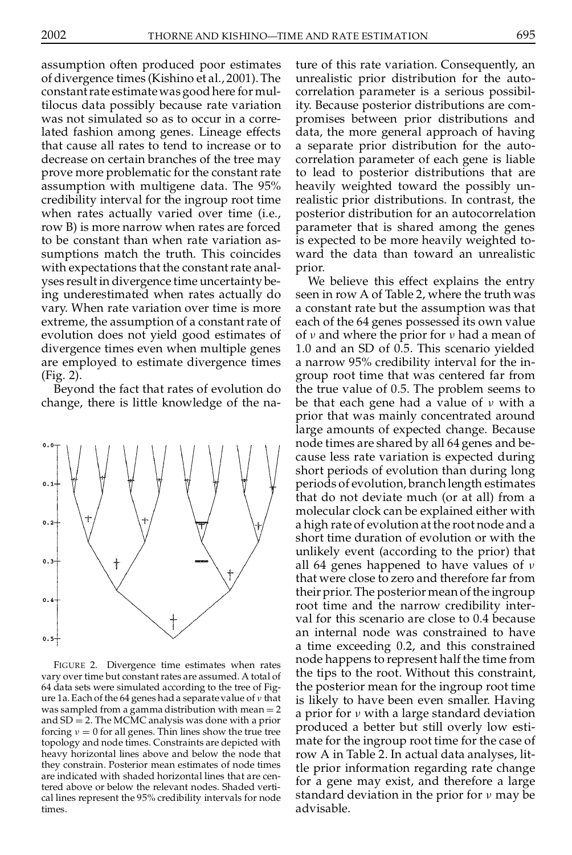assumption often produced poor estimates of divergence times (Kishino et al., 2001).The constantrate estimatewas good here for multilocus data possibly because rate variation was not simulated so as to occur in a correlated fashion among genes. Lineage effects that cause all rates to tend to increase or to decrease on certain branches of the tree may prove more problematic for the constant rate assumption with multigene data. The 95% credibility interval for the ingroup root time when rates actually varied over time (i.e., row B) is more narrow when rates are forced to be constant than when rate variation assumptions match the truth. This coincides with expectations that the constant rate analyses result in divergence time uncertainty being underestimated when rates actually do vary. When rate variation over time is more extreme, the assumption of a constant rate of evolution does not yield good estimates of divergence times even when multiple genes are employed to estimate divergence times (Fig. 2).

Beyond the fact that rates of evolution do change, there is little knowledge of the na-



FIGURE 2. Divergence time estimates when rates vary over time but constant rates are assumed. A total of 64 data sets were simulated according to the tree of Fig ure 1a. Each of the 64 genes had a separate value of  $\nu$  that was sampled from a gamma distribution with mean  $= 2$ and  $SD = 2$ . The MCMC analysis was done with a prior forcing  $v = 0$  for all genes. Thin lines show the true tree topology and node times. Constraints are depicted with heavy horizontal lines above and below the node that they constrain. Posterior mean estimates of node times are indicated with shaded horizontal lines that are centered above or below the relevant nodes. Shaded vertical lines represent the 95% credibility intervals for node times.

ture of this rate variation. Consequently, an unrealistic prior distribution for the autocorrelation parameter is a serious possibility. Because posterior distributions are compromises between prior distributions and data, the more general approach of having a separate prior distribution for the autocorrelation parameter of each gene is liable to lead to posterior distributions that are heavily weighted toward the possibly unrealistic prior distributions. In contrast, the posterior distribution for an autocorrelation parameter that is shared among the genes is expected to be more heavily weighted toward the data than toward an unrealistic prior.

We believe this effect explains the entry seen in row A of Table 2, where the truth was a constant rate but the assumption was that each of the 64 genes possessed its own value of  $\nu$  and where the prior for  $\nu$  had a mean of 1:0 and an SD of 0:5. This scenario yielded a narrow 95% credibility interval for the ingroup root time that was centered far from the true value of 0:5. The problem seems to be that each gene had a value of  $\nu$  with a prior that was mainly concentrated around large amounts of expected change. Because node times are shared by all 64 genes and because less rate variation is expected during short periods of evolution than during long periods of evolution, branchlength estimates that do not deviate much (or at all) from a molecular clock can be explained either with a high rate of evolution at the root node and a short time duration of evolution or with the unlikely event (according to the prior) that all 64 genes happened to have values of  $\nu$ that were close to zero and therefore far from their prior. The posterior mean of the ingroup root time and the narrow credibility interval for this scenario are close to 0.4 because an internal node was constrained to have a time exceeding 0.2, and this constrained node happens to represent half the time from the tips to the root. Without this constraint, the posterior mean for the ingroup root time is likely to have been even smaller. Having a prior for  $\nu$  with a large standard deviation produced a better but still overly low estimate for the ingroup root time for the case of row A in Table 2. In actual data analyses, little prior information regarding rate change for a gene may exist, and therefore a large standard deviation in the prior for  $\nu$  may be advisable.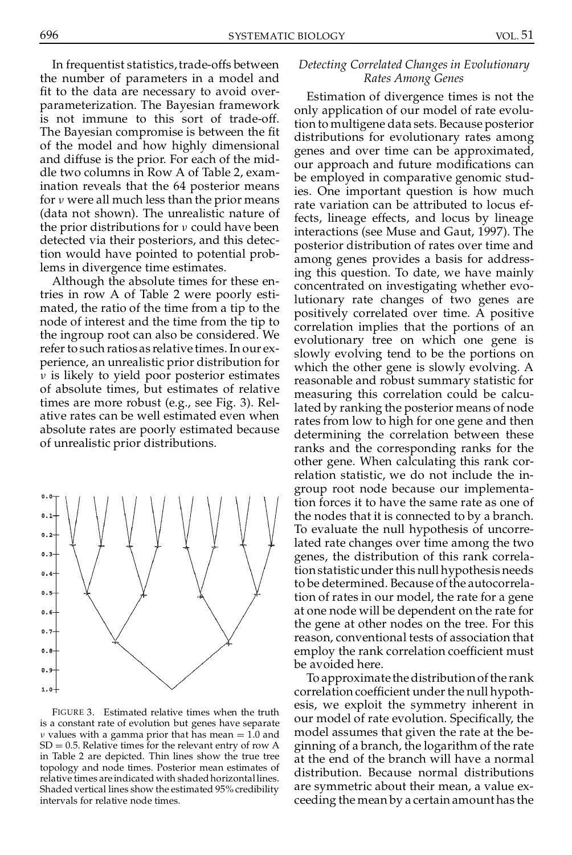In frequentist statistics, trade-offs between the number of parameters in a model and fit to the data are necessary to avoid overparameterization. The Bayesian framework is not immune to this sort of trade-off. The Bayesian compromise is between the fit of the model and how highly dimensional and diffuse is the prior. For each of the middle two columns in Row A of Table 2, examination reveals that the 64 posterior means for  $\nu$  were all much less than the prior means (data not shown). The unrealistic nature of the prior distributions for  $\nu$  could have been detected via their posteriors, and this detection would have pointed to potential problems in divergence time estimates.

Although the absolute times for these entries in row A of Table 2 were poorly estimated, the ratio of the time from a tip to the node of interest and the time from the tip to the ingroup root can also be considered. We refer to such ratios as relative times. In our experience, an unrealistic prior distribution for  $\nu$  is likely to yield poor posterior estimates of absolute times, but estimates of relative times are more robust (e.g., see Fig. 3). Relative rates can be well estimated even when absolute rates are poorly estimated because of unrealistic prior distributions.



FIGURE 3. Estimated relative times when the truth is a constant rate of evolution but genes have separate  $\nu$  values with a gamma prior that has mean = 1.0 and  $SD = 0.5$ . Relative times for the relevant entry of row A in Table 2 are depicted. Thin lines show the true tree topology and node times. Posterior mean estimates of relative times are indicated with shaded horizontal lines. Shaded vertical lines show the estimated 95% credibility intervals for relative node times.

### *Detecting Correlated Changes in Evolutionary Rates Among Genes*

Estimation of divergence times is not the only application of our model of rate evolution to multigene data sets. Because posterior distributions for evolutionary rates among genes and over time can be approximated, our approach and future modifications can be employed in comparative genomic studies. One important question is how much rate variation can be attributed to locus effects, lineage effects, and locus by lineage interactions (see Muse and Gaut, 1997). The posterior distribution of rates over time and among genes provides a basis for addressing this question. To date, we have mainly concentrated on investigating whether evolutionary rate changes of two genes are positively correlated over time. A positive correlation implies that the portions of an evolutionary tree on which one gene is slowly evolving tend to be the portions on which the other gene is slowly evolving. A reasonable and robust summary statistic for measuring this correlation could be calculated by ranking the posterior means of node rates from low to high for one gene and then determining the correlation between these ranks and the corresponding ranks for the other gene. When calculating this rank correlation statistic, we do not include the ingroup root node because our implementation forces it to have the same rate as one of the nodes that it is connected to by a branch. To evaluate the null hypothesis of uncorrelated rate changes over time among the two genes, the distribution of this rank correlation statistic under this null hypothesis needs to be determined. Because of the autocorrelation of rates in our model, the rate for a gene at one node will be dependent on the rate for the gene at other nodes on the tree. For this reason, conventional tests of association that employ the rank correlation coefficient must be avoided here.

To approximate the distribution of the rank correlation coefficient under the null hypothesis, we exploit the symmetry inherent in our model of rate evolution. Specifically, the model assumes that given the rate at the beginning of a branch, the logarithm of the rate at the end of the branch will have a normal distribution. Because normal distributions are symmetric about their mean, a value exceeding the mean by a certain amount has the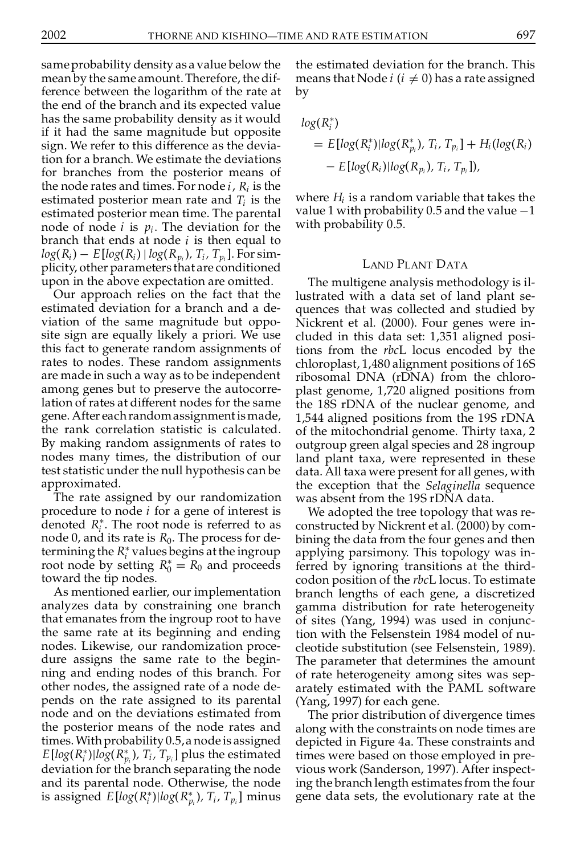sameprobability density as a value below the mean by the same amount.Therefore, thedifference between the logarithm of the rate at the end of the branch and its expected value has the same probability density as it would if it had the same magnitude but opposite sign. We refer to this difference as the deviation for a branch. We estimate the deviations for branches from the posterior means of the node rates and times. For node *i*, *R<sup>i</sup>* is the estimated posterior mean rate and *T<sup>i</sup>* is the estimated posterior mean time. The parental node of node  $i$  is  $p_i$ . The deviation for the branch that ends at node *i*is then equal to  $log(R_i) - E[log(R_i) | log(R_{p_i}), T_i, T_{p_i}]$ . For simplicity, other parameters that are conditioned upon in the above expectation are omitted.

Our approach relies on the fact that the estimated deviation for a branch and a deviation of the same magnitude but opposite sign are equally likely a priori. We use this fact to generate random assignments of rates to nodes. These random assignments are made in such a way as to be independent among genes but to preserve the autocorrelation of rates at different nodes for the same gene. After eachrandomassignmentismade, the rank correlation statistic is calculated. By making random assignments of rates to nodes many times, the distribution of our test statistic under the null hypothesis can be approximated.

The rate assigned by our randomization procedure to node *i* for a gene of interest is denoted  $R_i^*$ . The root node is referred to as node 0, and its rate is  $R_0$ . The process for determining the  $R_i^*$  values begins at the ingroup a root node by setting  $R_0^* = R_0$  and proceeds toward the tip nodes.

As mentioned earlier, our implementation analyzes data by constraining one branch that emanates from the ingroup root to have the same rate at its beginning and ending nodes. Likewise, our randomization procedure assigns the same rate to the beginning and ending nodes of this branch. For other nodes, the assigned rate of a node depends on the rate assigned to its parental node and on the deviations estimated from the posterior means of the node rates and times.Withprobability 0.5,a node is assigned  $E[log(R_i^*)|log(R_{p_i}^*)$ ,  $T_i$ ,  $T_{p_i}]$  plus the estimated times deviation for the branch separating the node and its parental node. Otherwise, the node is assigned  $E[log(R_i^*)|log(R_{p_i}^*), T_i, T_{p_i}]$  minus

the estimated deviation for the branch. This means that Node  $i$  ( $i \neq 0$ ) has a rate assigned by

$$
log(R_i^*)
$$
  
=  $E[log(R_i^*)|log(R_{p_i}^*), T_i, T_{p_i}] + H_i(log(R_i))$   
-  $E[log(R_i)|log(R_{p_i}), T_i, T_{p_i}]$ ),

where *H<sup>i</sup>* is a random variable that takes the value 1 with probability 0.5 and the value  $-1$ with probability 0.5.

#### LAND PLANT DATA

The multigene analysis methodology is illustrated with a data set of land plant sequences that was collected and studied by Nickrent et al. (2000). Four genes were included in this data set: 1,351 aligned positions from the *rbc*L locus encoded by the chloroplast, 1,480 alignment positions of 16S ribosomal DNA (rDNA) from the chloroplast genome, 1,720 aligned positions from the 18S rDNA of the nuclear genome, and 1,544 aligned positions from the 19S rDNA of the mitochondrial genome. Thirty taxa, 2 outgroup green algal species and 28 ingroup land plant taxa, were represented in these data. All taxa were present for all genes, with the exception that the *Selaginella* sequence was absent from the 19S rDNA data.

We adopted the tree topology that was reconstructed by Nickrent et al. (2000) by combining the data from the four genes and then applying parsimony. This topology was inferred by ignoring transitions at the thirdcodon position of the *rbc*L locus. To estimate branch lengths of each gene, a discretized gamma distribution for rate heterogeneity of sites (Yang, 1994) was used in conjunction with the Felsenstein 1984 model of nucleotide substitution (see Felsenstein, 1989). The parameter that determines the amount of rate heterogeneity among sites was separately estimated with the PAML software (Yang, 1997) for each gene.

The prior distribution of divergence times along with the constraints on node times are depicted in Figure 4a. These constraints and times were based on those employed in previous work (Sanderson, 1997). After inspecting the branch length estimates from the four gene data sets, the evolutionary rate at the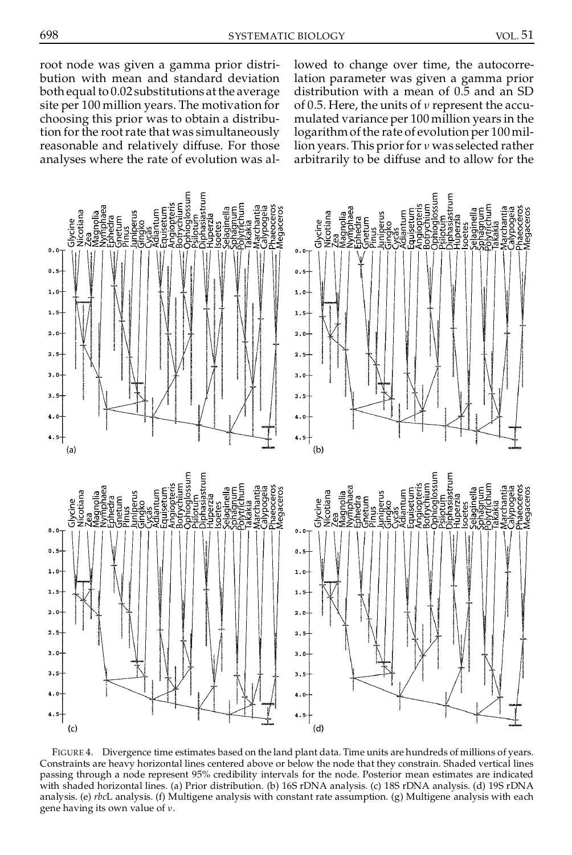root node was given a gamma prior distribution with mean and standard deviation both equal to  $0.02$  substitutions at the average site per 100 million years. The motivation for choosing this prior was to obtain a distribution for the root rate that was simultaneously reasonable and relatively diffuse. For those analyses where the rate of evolution was al-

lowed to change over time, the autocorrelation parameter was given a gamma prior distribution with a mean of 0.5 and an SD of 0.5. Here, the units of  $\nu$  represent the accumulated variance per 100 million years in the logarithm of the rate of evolution per 100 million years. This prior for  $\nu$  was selected rather arbitrarily to be diffuse and to allow for the



FIGURE 4. Divergence time estimates based on the land plant data. Time units are hundreds of millions of years. Constraints are heavy horizontal lines centered above or below the node that they constrain. Shaded vertical lines passing through a node represent 95% credibility intervals for the node. Posterior mean estimates are indicated with shaded horizontal lines. (a) Prior distribution. (b) 16S rDNA analysis. (c) 18S rDNA analysis. (d) 19S rDNA analysis. (e) *rbc*L analysis. (f) Multigene analysis with constant rate assumption. (g) Multigene analysis with each gene having its own value of  $\nu$ .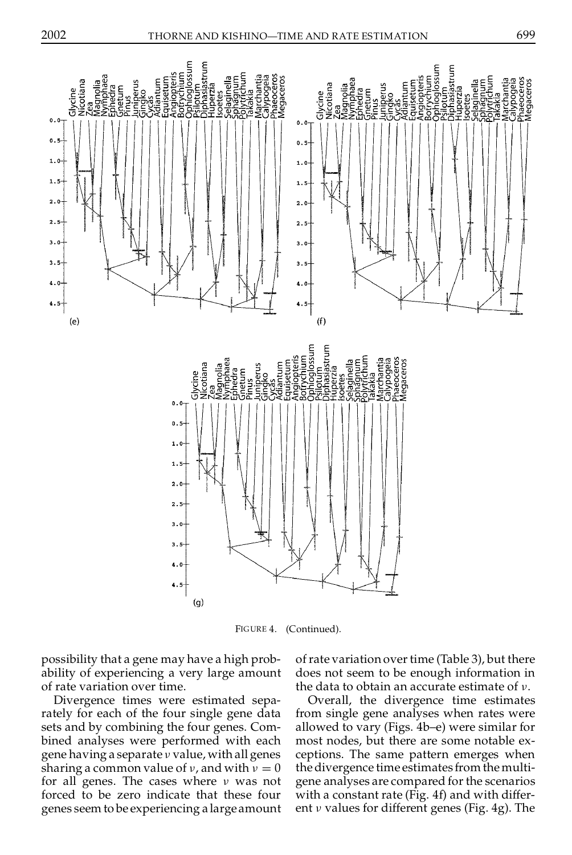

FIGURE 4. (Continued).

possibility that a gene may have a high probability of experiencing a very large amount of rate variation over time.

 $2.1$  $3.1$  $3.5$  $4.0$  $4.5$ 

 $(g)$ 

Divergence times were estimated separately for each of the four single gene data sets and by combining the four genes. Combined analyses were performed with each gene having a separate  $\nu$  value, with all genes sharing a common value of  $\nu$ , and with  $\nu = 0$ for all genes. The cases where  $\nu$  was not forced to be zero indicate that these four genes seem tobe experiencing a largeamount of rate variation over time (Table 3), but there does not seem to be enough information in the data to obtain an accurate estimate of  $\nu$ .

Overall, the divergence time estimates from single gene analyses when rates were allowed to vary (Figs. 4b–e) were similar for most nodes, but there are some notable exceptions. The same pattern emerges when the divergence time estimates from the multigene analyses are compared for the scenarios with a constant rate (Fig. 4f) and with different  $\nu$  values for different genes (Fig. 4g). The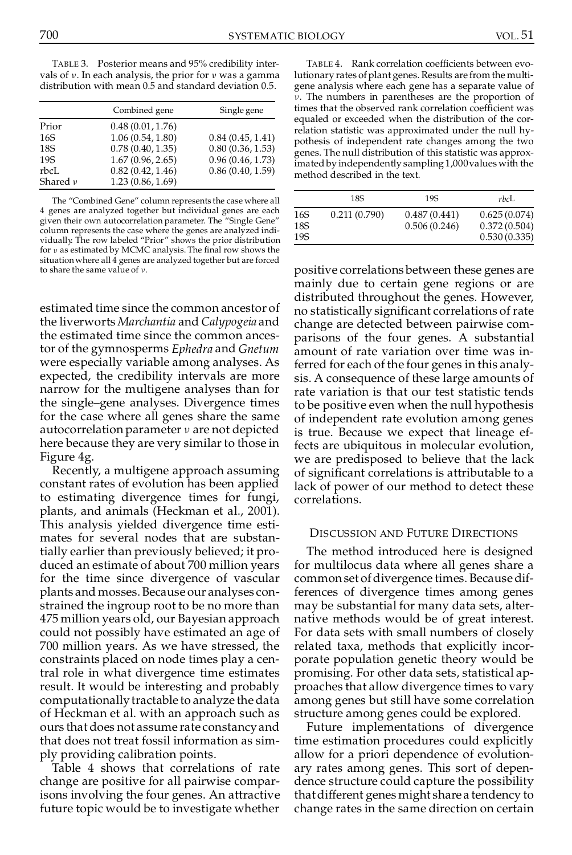TABLE 3. Posterior means and 95% credibility intervals of  $\nu$ . In each analysis, the prior for  $\nu$  was a gamma distribution with mean 0.5 and standard deviation 0.5.

|              | Combined gene    | Single gene      |
|--------------|------------------|------------------|
| Prior        | 0.48(0.01, 1.76) |                  |
| 16S          | 1.06(0.54, 1.80) | 0.84(0.45, 1.41) |
| 18S          | 0.78(0.40, 1.35) | 0.80(0.36, 1.53) |
| 19S          | 1.67(0.96, 2.65) | 0.96(0.46, 1.73) |
| rbcL         | 0.82(0.42, 1.46) | 0.86(0.40, 1.59) |
| Shared $\nu$ | 1.23(0.86, 1.69) |                  |

The "Combined Gene" column represents the case where all 4 genes are analyzed together but individual genes are each given their own autocorrelation parameter. The "Single Gene" column represents the case where the genes are analyzed individually. The row labeled "Prior" shows the prior distribution for  $\nu$  as estimated by MCMC analysis. The final row shows the situation where all  $\acute{4}$  genes are analyzed together but are forced to share the same value of  $\nu$ .

estimated time since the common ancestor of the liverworts *Marchantia* and *Calypogeia* and the estimated time since the common ancestor of the gymnosperms *Ephedra* and *Gnetum* were especially variable among analyses. As expected, the credibility intervals are more narrow for the multigene analyses than for the single–gene analyses. Divergence times for the case where all genes share the same autocorrelation parameter  $\nu$  are not depicted here because they are very similar to those in Figure 4g.

Recently, a multigene approach assuming constant rates of evolution has been applied to estimating divergence times for fungi, plants, and animals (Heckman et al., 2001). This analysis yielded divergence time estimates for several nodes that are substantially earlier than previously believed; it produced an estimate of about 700 million years for the time since divergence of vascular plants and mosses.Because our analyses constrained the ingroup root to be no more than 475 million years old, our Bayesian approach could not possibly have estimated an age of 700 million years. As we have stressed, the constraints placed on node times play a central role in what divergence time estimates result. It would be interesting and probably computationallytractable to analyze thedata of Heckman et al. with an approach such as ours that does not assume rate constancyand that does not treat fossil information as simply providing calibration points.

Table 4 shows that correlations of rate change are positive for all pairwise comparisons involving the four genes. An attractive future topic would be to investigate whether

TABLE 4. Rank correlation coefficients between evolutionary rates of plant genes. Results are from the multigene analysis where each gene has a separate value of  $\nu$ . The numbers in parentheses are the proportion of times that the observed rank correlation coefficient was equaled or exceeded when the distribution of the cor relation statistic was approximated under the null hypothesis of independent rate changes among the two genes. The null distribution of this statistic was approximatedby independently sampling 1,000values with the method described in the text.

|                   | 18S          | 19S                          | rbcL                                         |
|-------------------|--------------|------------------------------|----------------------------------------------|
| 16S<br>18S<br>19S | 0.211(0.790) | 0.487(0.441)<br>0.506(0.246) | 0.625(0.074)<br>0.372(0.504)<br>0.530(0.335) |

positive correlations between these genes are mainly due to certain gene regions or are distributed throughout the genes. However, no statistically significant correlations of rate change are detected between pairwise comparisons of the four genes. A substantial amount of rate variation over time was inferred for each of the four genes in this analysis. A consequence of these large amounts of rate variation is that our test statistic tends to be positive even when the null hypothesis of independent rate evolution among genes is true. Because we expect that lineage effects are ubiquitous in molecular evolution, we are predisposed to believe that the lack of signicant correlations is attributable to a lack of power of our method to detect these correlations.

### DISCUSSION AND FUTURE DIRECTIONS

The method introduced here is designed for multilocus data where all genes share a common set of divergence times. Because differences of divergence times among genes may be substantial for many data sets, alternative methods would be of great interest. For data sets with small numbers of closely related taxa, methods that explicitly incorporate population genetic theory would be promising. For other data sets, statistical approaches that allow divergence times to vary among genes but still have some correlation structure among genes could be explored.

Future implementations of divergence time estimation procedures could explicitly allow for a priori dependence of evolutionary rates among genes. This sort of dependence structure could capture the possibility thatdifferent genes might share a tendency to change rates in the same direction on certain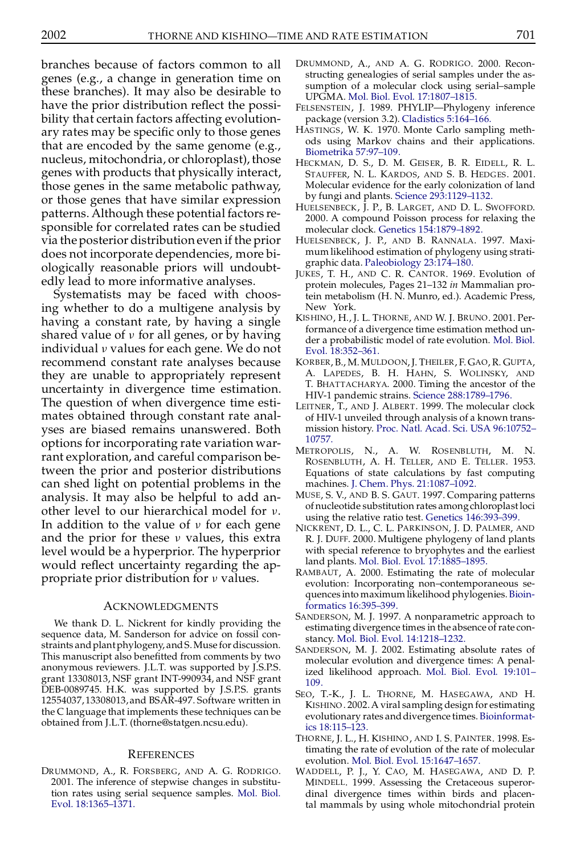branches because of factors common to all genes (e.g., a change in generation time on these branches). It may also be desirable to have the prior distribution reflect the possibility that certain factors affecting evolutionary rates may be specific only to those genes that are encoded by the same genome (e.g., nucleus, mitochondria, or chloroplast), those genes with products that physically interact, those genes in the same metabolic pathway, or those genes that have similar expression patterns. Although these potential factors responsible for correlated rates can be studied via theposterior distribution even if the prior does not incorporate dependencies, more biologically reasonable priors will undoubtedly lead to more informative analyses.

Systematists may be faced with choosing whether to do a multigene analysis by having a constant rate, by having a single shared value of  $\nu$  for all genes, or by having individual  $\nu$  values for each gene. We do not recommend constant rate analyses because they are unable to appropriately represent uncertainty in divergence time estimation. The question of when divergence time estimates obtained through constant rate analyses are biased remains unanswered. Both options for incorporating rate variation warrant exploration, and careful comparison between the prior and posterior distributions can shed light on potential problems in the analysis. It may also be helpful to add another level to our hierarchical model for  $\nu$ . In addition to the value of  $\nu$  for each gene and the prior for these  $\nu$  values, this extra level would be a hyperprior. The hyperprior would reflect uncertainty regarding the appropriate prior distribution for  $\nu$  values.

#### **ACKNOWLEDGMENTS**

We thank D. L. Nickrent for kindly providing the sequence data, M. Sanderson for advice on fossil con straints and plant phylogeny, and S. Muse for discussion. This manuscript also benefitted from comments by two anonymous reviewers. J.L.T. was supported by J.S.P.S. grant 13308013, NSF grant INT-990934, and NSF grant DEB-0089745. H.K. was supported by J.S.P.S. grants 12554037,13308013,and BSAR-497. Software written in the C language that implements these techniques can be obtained from J.L.T. (thorne@statgen.ncsu.edu).

### **REFERENCES**

DRUMMOND, A., R. FORSBERG, AND A. G. RODRIGO. 2001. The inference of stepwise changes in substitution rates using serial sequence samples. [Mol.](http://iris.ingentaselect.com/nw=1/rpsv/cgi-bin/linker?ext=a&reqidx=/0737-4038^28^2918L.1365[aid=3009292]) Biol. Evol. [18:1365–1371.](http://iris.ingentaselect.com/nw=1/rpsv/cgi-bin/linker?ext=a&reqidx=/0737-4038^28^2918L.1365[aid=3009292])

- DRUMMOND, A., AND A. G. RODRIGO. 2000. Reconstructing genealogies of serial samples under the as sumption of a molecular clock using serial–sample UPGMA. Mol. Biol. Evol. [17:1807–1815.](http://iris.ingentaselect.com/nw=1/rpsv/cgi-bin/linker?ext=a&reqidx=/0737-4038^28^2917L.1807[aid=3009293])
- FELSENSTEIN, J. 1989. PHYLIP—Phylogeny inference package (version 3.2). Cladistics [5:164–166.](http://iris.ingentaselect.com/nw=1/rpsv/cgi-bin/linker?ext=a&reqidx=/0748-3007^28^295L.164)
- HASTINGS, W. K. 1970. Monte Carlo sampling methods using Markov chains and their applications. [Biometrika](http://iris.ingentaselect.com/nw=1/rpsv/cgi-bin/linker?ext=a&reqidx=/0006-3444^28^2957L.97) 57:97–109.
- HECKMAN, D. S., D. M. GEISER, B. R. EIDELL, R. L. STAUFFER, N. L. KARDOS, AND S. B. HEDGES. 2001. Molecular evidence for the early colonization of land by fungi and plants. Science [293:1129–1132.](http://iris.ingentaselect.com/nw=1/rpsv/cgi-bin/linker?ext=a&reqidx=/0036-8075^28^29293L.1129[aid=2008930])
- HUELSENBECK, J. P., B. LARGET, AND D. L. SWOFFORD. 2000. A compound Poisson process for relaxing the molecular clock. Genetics [154:1879–1892.](http://iris.ingentaselect.com/nw=1/rpsv/cgi-bin/linker?ext=a&reqidx=/0016-6731^28^29154L.1879[aid=522863])
- HUELSENBECK, J. P., AND B. RANNALA. 1997. Maxi mum likelihood estimation of phylogeny using stratigraphic data. [Paleobiology](http://iris.ingentaselect.com/nw=1/rpsv/cgi-bin/linker?ext=a&reqidx=/0094-8373^28^2923L.174) 23:174–180.
- JUKES, T. H., AND C. R. CANTOR. 1969. Evolution of protein molecules, Pages 21–132 *in* Mammalian protein metabolism (H. N. Munro, ed.). Academic Press, New York.
- KISHINO, H., J. L. THORNE, AND W. J. BRUNO. 2001. Performance of a divergence time estimation method un der a probabilistic model of rate evolution. [Mol.](http://iris.ingentaselect.com/nw=1/rpsv/cgi-bin/linker?ext=a&reqidx=/0737-4038^28^2918L.352[aid=3009257]) Biol. Evol. [18:352–361.](http://iris.ingentaselect.com/nw=1/rpsv/cgi-bin/linker?ext=a&reqidx=/0737-4038^28^2918L.352[aid=3009257])
- KORBER, B., M. MULDOON, J. THEILER, F. GAO, R. GUPTA, A. LAPEDES, B. H. HAHN, S. WOLINSKY, AND T. BHATTACHARYA. 2000. Timing the ancestor of the HIV-1 pandemic strains. Science [288:1789–1796.](http://iris.ingentaselect.com/nw=1/rpsv/cgi-bin/linker?ext=a&reqidx=/0036-8075^28^29288L.1789[aid=1211654])
- LEITNER, T., AND J. ALBERT. 1999. The molecular clock of HIV-1 unveiled through analysis of a known transmission history. Proc. Natl. Acad. Sci. USA [96:10752–](http://iris.ingentaselect.com/nw=1/rpsv/cgi-bin/linker?ext=a&reqidx=/0027-8424^28^2996L.10752[aid=1211655]) [10757.](http://iris.ingentaselect.com/nw=1/rpsv/cgi-bin/linker?ext=a&reqidx=/0027-8424^28^2996L.10752[aid=1211655])
- METROPOLIS, N., A. W. ROSENBLUTH, M. N. ROSENBLUTH, A. H. TELLER, AND E. TELLER. 1953. Equations of state calculations by fast computing machines. J. Chem. Phys. [21:1087–1092.](http://iris.ingentaselect.com/nw=1/rpsv/cgi-bin/linker?ext=a&reqidx=/0021-9606^28^2921L.1087[aid=20274])
- MUSE, S. V., AND B.S. GAUT. 1997. Comparing patterns of nucleotide substitution rates amongchloroplastloci using the relative ratio test. Genetics [146:393–399.](http://iris.ingentaselect.com/nw=1/rpsv/cgi-bin/linker?ext=a&reqidx=/0016-6731^28^29146L.393[aid=3009294])
- NICKRENT, D. L., C. L. PARKINSON, J. D. PALMER, AND R. J. DUFF. 2000. Multigene phylogeny of land plants with special reference to bryophytes and the earliest land plants. Mol. Biol. Evol. [17:1885–1895.](http://iris.ingentaselect.com/nw=1/rpsv/cgi-bin/linker?ext=a&reqidx=/0737-4038^28^2917L.1885[aid=3009295])
- RAMBAUT, A. 2000. Estimating the rate of molecular evolution: Incorporating non–contemporaneous se quences into maximum likelihood phylogenies.[Bioin](http://iris.ingentaselect.com/nw=1/rpsv/cgi-bin/linker?ext=a&reqidx=/1367-4803^28^2916L.395[aid=3009296])formatics [16:395–399.](http://iris.ingentaselect.com/nw=1/rpsv/cgi-bin/linker?ext=a&reqidx=/1367-4803^28^2916L.395[aid=3009296])
- SANDERSON, M. J. 1997. A nonparametric approach to estimating divergence times in the absence of rate constancy. Mol. Biol. Evol. [14:1218–1232.](http://iris.ingentaselect.com/nw=1/rpsv/cgi-bin/linker?ext=a&reqidx=/0737-4038^28^2914L.1218[aid=522856])
- SANDERSON, M. J. 2002. Estimating absolute rates of molecular evolution and divergence times: A penalized likelihood approach. Mol. Biol. Evol. [19:101–](http://iris.ingentaselect.com/nw=1/rpsv/cgi-bin/linker?ext=a&reqidx=/0737-4038^28^2919L.101[aid=2283540]) [109.](http://iris.ingentaselect.com/nw=1/rpsv/cgi-bin/linker?ext=a&reqidx=/0737-4038^28^2919L.101[aid=2283540])
- SEO, T.-K., J. L. THORNE, M. HASEGAWA, AND H. KISHINO . 2002.A viral sampling design for estimating evolutionary rates and divergence times. [Bioinformat](http://iris.ingentaselect.com/nw=1/rpsv/cgi-bin/linker?ext=a&reqidx=/1367-4803^28^2918L.115[aid=3009297])ics [18:115–123.](http://iris.ingentaselect.com/nw=1/rpsv/cgi-bin/linker?ext=a&reqidx=/1367-4803^28^2918L.115[aid=3009297])
- THORNE, J. L., H. KISHINO , AND I. S. PAINTER. 1998. Estimating the rate of evolution of the rate of molecular evolution. Mol. Biol. Evol. [15:1647–1657.](http://iris.ingentaselect.com/nw=1/rpsv/cgi-bin/linker?ext=a&reqidx=/0737-4038^28^2915L.1647[aid=522859])
- WADDELL, P. J., Y. CAO, M. HASEGAWA, AND D. P. MINDELL. 1999. Assessing the Cretaceous superordinal divergence times within birds and placental mammals by using whole mitochondrial protein